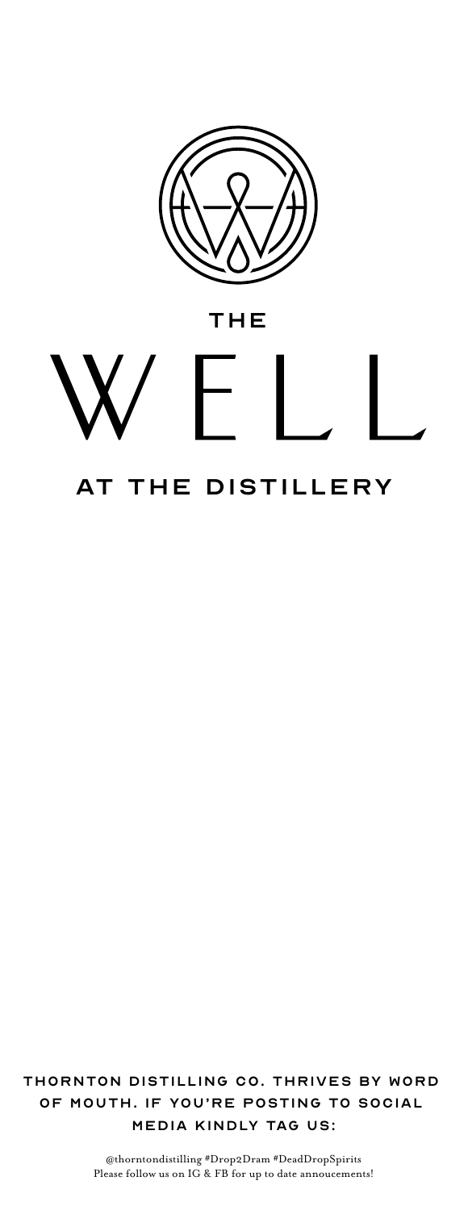

# THE

# AT THE DISTILLERY

Thornton Distilling Co. Thrives by word of mouth. If you're posting to social media kindly tag us:

> @thorntondistilling #Drop2Dram #DeadDropSpirits Please follow us on IG & FB for up to date annoucements!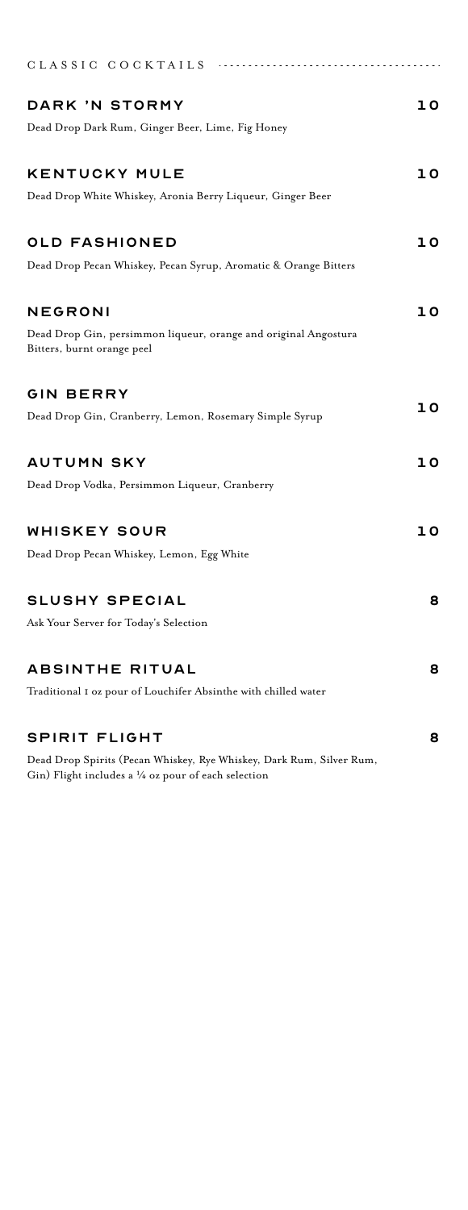| CLASSIC COCKTAILS                                                                                                                      |    |
|----------------------------------------------------------------------------------------------------------------------------------------|----|
|                                                                                                                                        |    |
| DARK 'N STORMY                                                                                                                         | 10 |
| Dead Drop Dark Rum, Ginger Beer, Lime, Fig Honey                                                                                       |    |
| <b>KENTUCKY MULE</b>                                                                                                                   | 10 |
| Dead Drop White Whiskey, Aronia Berry Liqueur, Ginger Beer                                                                             |    |
| OLD FASHIONED                                                                                                                          | 10 |
| Dead Drop Pecan Whiskey, Pecan Syrup, Aromatic & Orange Bitters                                                                        |    |
| NEGRONI                                                                                                                                | ıο |
| Dead Drop Gin, persimmon liqueur, orange and original Angostura<br>Bitters, burnt orange peel                                          |    |
| GIN BERRY                                                                                                                              |    |
| Dead Drop Gin, Cranberry, Lemon, Rosemary Simple Syrup                                                                                 | ıο |
| AUTUMN SKY                                                                                                                             | 10 |
| Dead Drop Vodka, Persimmon Liqueur, Cranberry                                                                                          |    |
| WHISKEY SOUR                                                                                                                           | ıο |
| Dead Drop Pecan Whiskey, Lemon, Egg White                                                                                              |    |
| <b>SLUSHY SPECIAL</b>                                                                                                                  | 8  |
| Ask Your Server for Today's Selection                                                                                                  |    |
| ABSINTHE RITUAL                                                                                                                        | 8  |
| Traditional I oz pour of Louchifer Absinthe with chilled water                                                                         |    |
| SPIRIT FLIGHT                                                                                                                          | 8  |
| Dead Drop Spirits (Pecan Whiskey, Rye Whiskey, Dark Rum, Silver Rum,<br>Gin) Flight includes a $\frac{1}{4}$ oz pour of each selection |    |